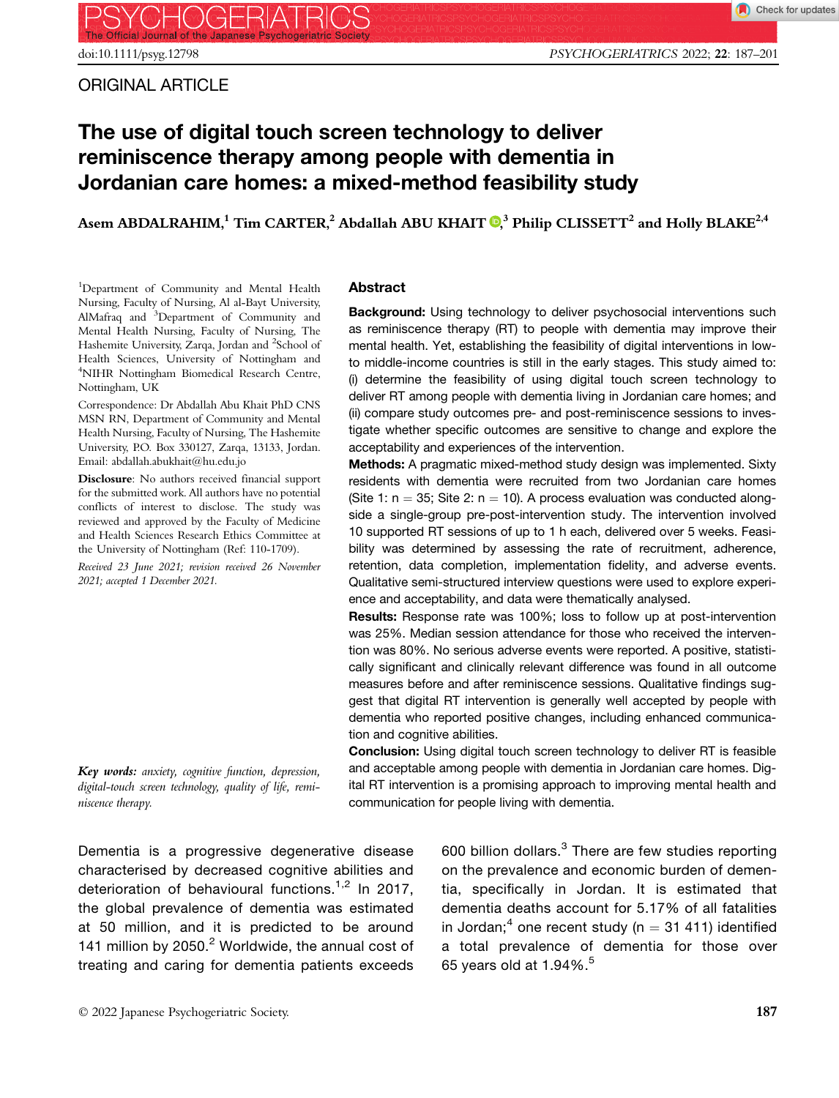# The use of digital touch screen technology to deliver reminiscence therapy among people with dementia in Jordanian care homes: a mixed-method feasibility study

Asem ABDALRAHIM[,](https://orcid.org/0000-0003-2031-3496)<sup>1</sup> Tim CARTER,<sup>2</sup> Abdallah ABU KHAIT  $\mathbf{Q}^3$  Philip CLISSETT<sup>2</sup> and Holly BLAKE<sup>2,4</sup>

<sup>1</sup>Department of Community and Mental Health Nursing, Faculty of Nursing, Al al-Bayt University, AlMafraq and <sup>3</sup> Department of Community and Mental Health Nursing, Faculty of Nursing, The Hashemite University, Zarqa, Jordan and <sup>2</sup>School of Health Sciences, University of Nottingham and 4 NIHR Nottingham Biomedical Research Centre, Nottingham, UK

Correspondence: Dr Abdallah Abu Khait PhD CNS MSN RN, Department of Community and Mental Health Nursing, Faculty of Nursing, The Hashemite University, P.O. Box 330127, Zarqa, 13133, Jordan. Email: abdallah.abukhait@hu.edu.jo

Disclosure: No authors received financial support for the submitted work. All authors have no potential conflicts of interest to disclose. The study was reviewed and approved by the Faculty of Medicine and Health Sciences Research Ethics Committee at the University of Nottingham (Ref: 110-1709).

Received 23 June 2021; revision received 26 November 2021; accepted 1 December 2021.

#### Abstract

Background: Using technology to deliver psychosocial interventions such as reminiscence therapy (RT) to people with dementia may improve their mental health. Yet, establishing the feasibility of digital interventions in lowto middle-income countries is still in the early stages. This study aimed to: (i) determine the feasibility of using digital touch screen technology to deliver RT among people with dementia living in Jordanian care homes; and (ii) compare study outcomes pre- and post-reminiscence sessions to investigate whether specific outcomes are sensitive to change and explore the acceptability and experiences of the intervention.

Methods: A pragmatic mixed-method study design was implemented. Sixty residents with dementia were recruited from two Jordanian care homes (Site 1:  $n = 35$ ; Site 2:  $n = 10$ ). A process evaluation was conducted alongside a single-group pre-post-intervention study. The intervention involved 10 supported RT sessions of up to 1 h each, delivered over 5 weeks. Feasibility was determined by assessing the rate of recruitment, adherence, retention, data completion, implementation fidelity, and adverse events. Qualitative semi-structured interview questions were used to explore experience and acceptability, and data were thematically analysed.

Results: Response rate was 100%; loss to follow up at post-intervention was 25%. Median session attendance for those who received the intervention was 80%. No serious adverse events were reported. A positive, statistically significant and clinically relevant difference was found in all outcome measures before and after reminiscence sessions. Qualitative findings suggest that digital RT intervention is generally well accepted by people with dementia who reported positive changes, including enhanced communication and cognitive abilities.

Conclusion: Using digital touch screen technology to deliver RT is feasible and acceptable among people with dementia in Jordanian care homes. Digital RT intervention is a promising approach to improving mental health and communication for people living with dementia.

Key words: anxiety, cognitive function, depression, digital-touch screen technology, quality of life, reminiscence therapy.

Dementia is a progressive degenerative disease characterised by decreased cognitive abilities and deterioration of behavioural functions.<sup>1,2</sup> In 2017, the global prevalence of dementia was estimated at 50 million, and it is predicted to be around 141 million by  $2050<sup>2</sup>$  Worldwide, the annual cost of treating and caring for dementia patients exceeds

600 billion dollars. $3$  There are few studies reporting on the prevalence and economic burden of dementia, specifically in Jordan. It is estimated that dementia deaths account for 5.17% of all fatalities in Jordan;<sup>4</sup> one recent study ( $n = 31 411$ ) identified a total prevalence of dementia for those over 65 years old at  $1.94\%$ .<sup>5</sup>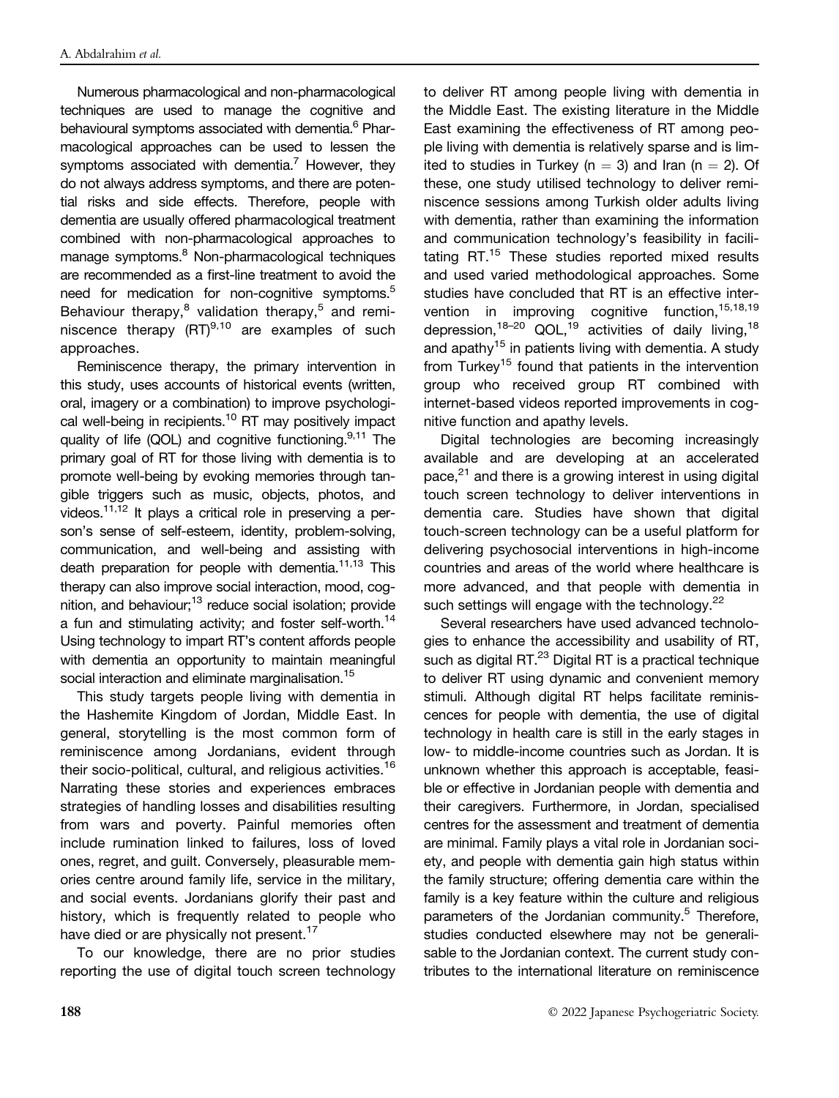Numerous pharmacological and non-pharmacological techniques are used to manage the cognitive and behavioural symptoms associated with dementia.<sup>6</sup> Pharmacological approaches can be used to lessen the symptoms associated with dementia.<sup>7</sup> However, they do not always address symptoms, and there are potential risks and side effects. Therefore, people with dementia are usually offered pharmacological treatment combined with non-pharmacological approaches to manage symptoms.<sup>8</sup> Non-pharmacological techniques are recommended as a first-line treatment to avoid the need for medication for non-cognitive symptoms.<sup>5</sup> Behaviour therapy, $8$  validation therapy, $5$  and reminiscence therapy  $(RT)^{9,10}$  are examples of such approaches.

Reminiscence therapy, the primary intervention in this study, uses accounts of historical events (written, oral, imagery or a combination) to improve psychological well-being in recipients.<sup>10</sup> RT may positively impact quality of life (QOL) and cognitive functioning.  $9,11$  The primary goal of RT for those living with dementia is to promote well-being by evoking memories through tangible triggers such as music, objects, photos, and videos. $11,12$  It plays a critical role in preserving a person's sense of self-esteem, identity, problem-solving, communication, and well-being and assisting with death preparation for people with dementia.<sup>11,13</sup> This therapy can also improve social interaction, mood, cognition, and behaviour;<sup>13</sup> reduce social isolation; provide a fun and stimulating activity; and foster self-worth.<sup>14</sup> Using technology to impart RT's content affords people with dementia an opportunity to maintain meaningful social interaction and eliminate marginalisation.<sup>15</sup>

This study targets people living with dementia in the Hashemite Kingdom of Jordan, Middle East. In general, storytelling is the most common form of reminiscence among Jordanians, evident through their socio-political, cultural, and religious activities.<sup>16</sup> Narrating these stories and experiences embraces strategies of handling losses and disabilities resulting from wars and poverty. Painful memories often include rumination linked to failures, loss of loved ones, regret, and guilt. Conversely, pleasurable memories centre around family life, service in the military, and social events. Jordanians glorify their past and history, which is frequently related to people who have died or are physically not present.<sup>17</sup>

To our knowledge, there are no prior studies reporting the use of digital touch screen technology

to deliver RT among people living with dementia in the Middle East. The existing literature in the Middle East examining the effectiveness of RT among people living with dementia is relatively sparse and is limited to studies in Turkey ( $n = 3$ ) and Iran ( $n = 2$ ). Of these, one study utilised technology to deliver reminiscence sessions among Turkish older adults living with dementia, rather than examining the information and communication technology's feasibility in facilitating RT.<sup>15</sup> These studies reported mixed results and used varied methodological approaches. Some studies have concluded that RT is an effective intervention in improving cognitive function, 15,18,19 depression,<sup>18–20</sup> QOL,<sup>19</sup> activities of daily living,<sup>18</sup> and apathy<sup>15</sup> in patients living with dementia. A study from Turkey<sup>15</sup> found that patients in the intervention group who received group RT combined with internet-based videos reported improvements in cognitive function and apathy levels.

Digital technologies are becoming increasingly available and are developing at an accelerated pace, $^{21}$  and there is a growing interest in using digital touch screen technology to deliver interventions in dementia care. Studies have shown that digital touch-screen technology can be a useful platform for delivering psychosocial interventions in high-income countries and areas of the world where healthcare is more advanced, and that people with dementia in such settings will engage with the technology. $^{22}$ 

Several researchers have used advanced technologies to enhance the accessibility and usability of RT, such as digital RT.<sup>23</sup> Digital RT is a practical technique to deliver RT using dynamic and convenient memory stimuli. Although digital RT helps facilitate reminiscences for people with dementia, the use of digital technology in health care is still in the early stages in low- to middle-income countries such as Jordan. It is unknown whether this approach is acceptable, feasible or effective in Jordanian people with dementia and their caregivers. Furthermore, in Jordan, specialised centres for the assessment and treatment of dementia are minimal. Family plays a vital role in Jordanian society, and people with dementia gain high status within the family structure; offering dementia care within the family is a key feature within the culture and religious parameters of the Jordanian community.<sup>5</sup> Therefore, studies conducted elsewhere may not be generalisable to the Jordanian context. The current study contributes to the international literature on reminiscence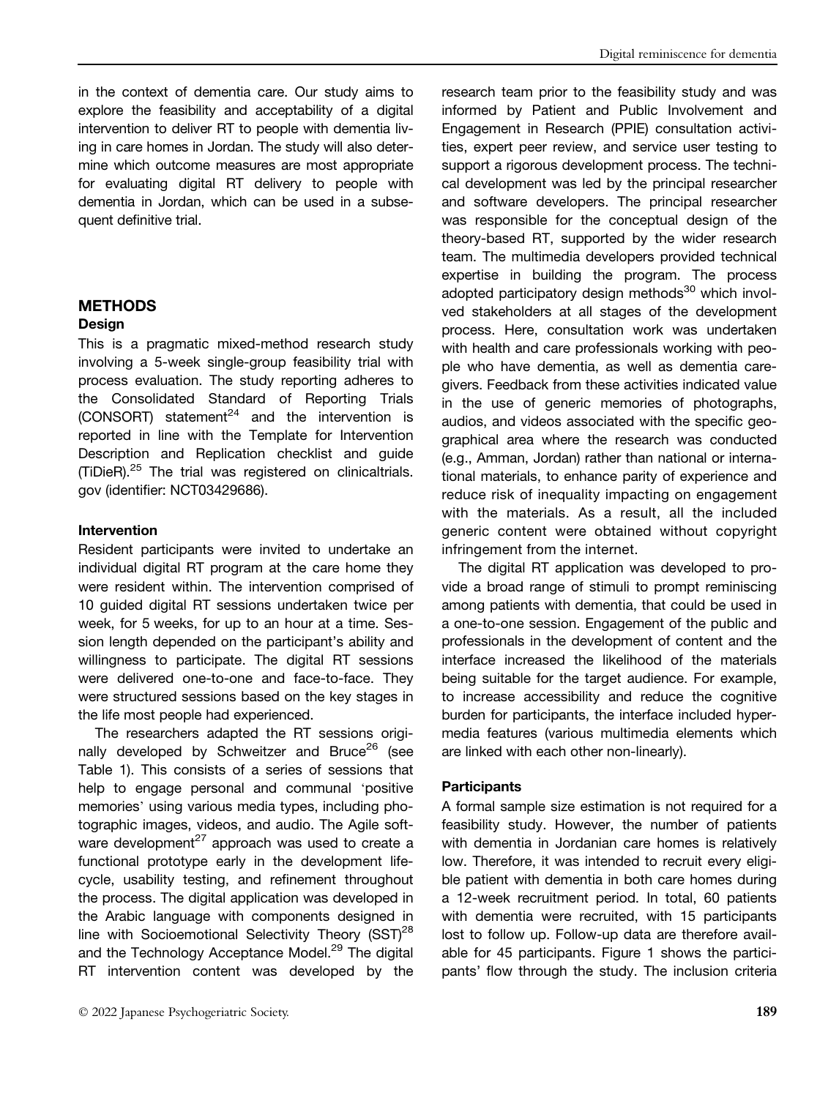# **METHODS**

#### Design

This is a pragmatic mixed-method research study involving a 5-week single-group feasibility trial with process evaluation. The study reporting adheres to the Consolidated Standard of Reporting Trials  $(CONSORT)$  statement<sup>24</sup> and the intervention is reported in line with the Template for Intervention Description and Replication checklist and guide (TiDieR).<sup>25</sup> The trial was registered on [clinicaltrials.](http://clinicaltrials.gov) [gov](http://clinicaltrials.gov) (identifier: NCT03429686).

#### Intervention

Resident participants were invited to undertake an individual digital RT program at the care home they were resident within. The intervention comprised of 10 guided digital RT sessions undertaken twice per week, for 5 weeks, for up to an hour at a time. Session length depended on the participant's ability and willingness to participate. The digital RT sessions were delivered one-to-one and face-to-face. They were structured sessions based on the key stages in the life most people had experienced.

The researchers adapted the RT sessions originally developed by Schweitzer and Bruce<sup>26</sup> (see Table 1). This consists of a series of sessions that help to engage personal and communal 'positive memories' using various media types, including photographic images, videos, and audio. The Agile software development<sup>27</sup> approach was used to create a functional prototype early in the development lifecycle, usability testing, and refinement throughout the process. The digital application was developed in the Arabic language with components designed in line with Socioemotional Selectivity Theory (SST)<sup>28</sup> and the Technology Acceptance Model.<sup>29</sup> The digital RT intervention content was developed by the

research team prior to the feasibility study and was informed by Patient and Public Involvement and Engagement in Research (PPIE) consultation activities, expert peer review, and service user testing to support a rigorous development process. The technical development was led by the principal researcher and software developers. The principal researcher was responsible for the conceptual design of the theory-based RT, supported by the wider research team. The multimedia developers provided technical expertise in building the program. The process adopted participatory design methods<sup>30</sup> which involved stakeholders at all stages of the development process. Here, consultation work was undertaken with health and care professionals working with people who have dementia, as well as dementia caregivers. Feedback from these activities indicated value in the use of generic memories of photographs, audios, and videos associated with the specific geographical area where the research was conducted (e.g., Amman, Jordan) rather than national or international materials, to enhance parity of experience and reduce risk of inequality impacting on engagement with the materials. As a result, all the included generic content were obtained without copyright infringement from the internet.

The digital RT application was developed to provide a broad range of stimuli to prompt reminiscing among patients with dementia, that could be used in a one-to-one session. Engagement of the public and professionals in the development of content and the interface increased the likelihood of the materials being suitable for the target audience. For example, to increase accessibility and reduce the cognitive burden for participants, the interface included hypermedia features (various multimedia elements which are linked with each other non-linearly).

#### **Participants**

A formal sample size estimation is not required for a feasibility study. However, the number of patients with dementia in Jordanian care homes is relatively low. Therefore, it was intended to recruit every eligible patient with dementia in both care homes during a 12-week recruitment period. In total, 60 patients with dementia were recruited, with 15 participants lost to follow up. Follow-up data are therefore available for 45 participants. Figure 1 shows the participants' flow through the study. The inclusion criteria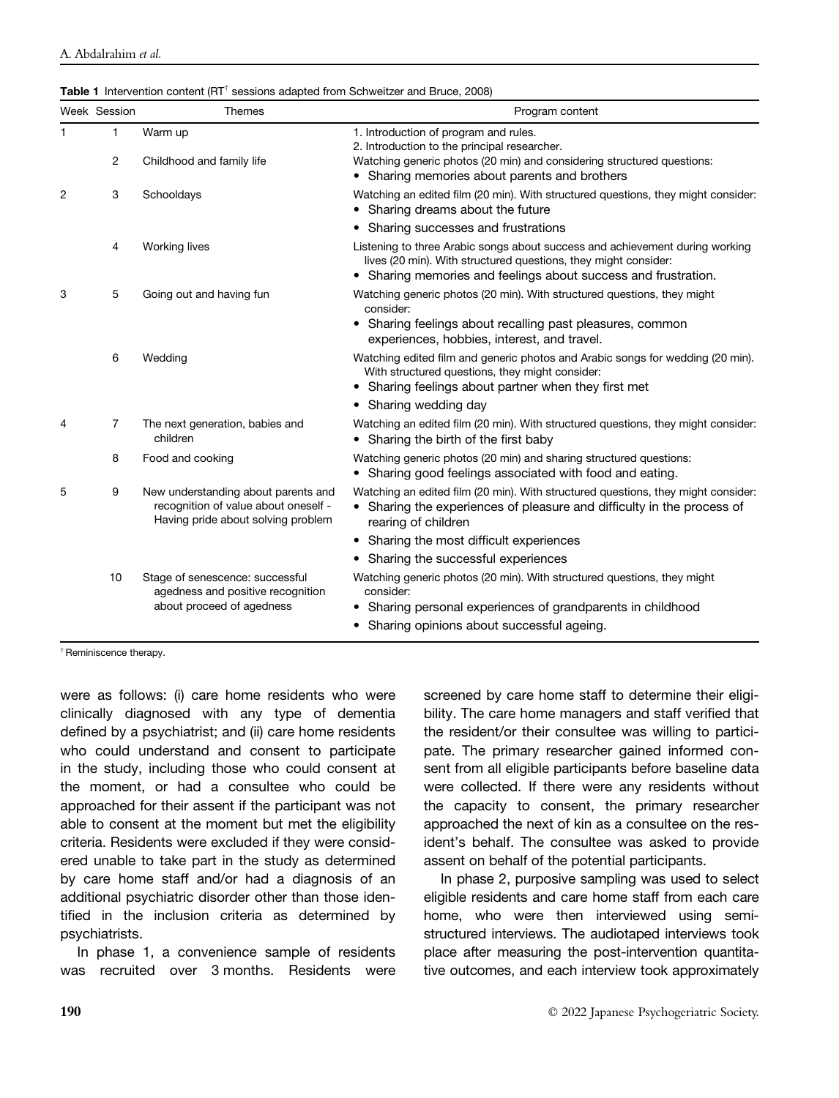|  | <b>Table 1</b> Intervention content ( $RT^{\dagger}$ sessions adapted from Schweitzer and Bruce, 2008) |  |  |  |  |  |
|--|--------------------------------------------------------------------------------------------------------|--|--|--|--|--|
|--|--------------------------------------------------------------------------------------------------------|--|--|--|--|--|

|   | Week Session | <b>Themes</b>                                                                                                     | Program content                                                                                                                                                                                                      |
|---|--------------|-------------------------------------------------------------------------------------------------------------------|----------------------------------------------------------------------------------------------------------------------------------------------------------------------------------------------------------------------|
| 1 | 1            | Warm up                                                                                                           | 1. Introduction of program and rules.<br>2. Introduction to the principal researcher.                                                                                                                                |
|   | 2            | Childhood and family life                                                                                         | Watching generic photos (20 min) and considering structured questions:<br>• Sharing memories about parents and brothers                                                                                              |
| 2 | 3            | Schooldays                                                                                                        | Watching an edited film (20 min). With structured questions, they might consider:<br>Sharing dreams about the future<br>٠                                                                                            |
|   |              |                                                                                                                   | Sharing successes and frustrations<br>٠                                                                                                                                                                              |
|   | 4            | <b>Working lives</b>                                                                                              | Listening to three Arabic songs about success and achievement during working<br>lives (20 min). With structured questions, they might consider:<br>Sharing memories and feelings about success and frustration.<br>٠ |
| 3 | 5            | Going out and having fun                                                                                          | Watching generic photos (20 min). With structured questions, they might<br>consider:<br>• Sharing feelings about recalling past pleasures, common<br>experiences, hobbies, interest, and travel.                     |
|   | 6            | Wedding                                                                                                           | Watching edited film and generic photos and Arabic songs for wedding (20 min).<br>With structured questions, they might consider:<br>Sharing feelings about partner when they first met<br>$\bullet$                 |
|   |              |                                                                                                                   | Sharing wedding day<br>٠                                                                                                                                                                                             |
| 4 | 7            | The next generation, babies and<br>children                                                                       | Watching an edited film (20 min). With structured questions, they might consider:<br>• Sharing the birth of the first baby                                                                                           |
|   | 8            | Food and cooking                                                                                                  | Watching generic photos (20 min) and sharing structured questions:<br>Sharing good feelings associated with food and eating.                                                                                         |
| 5 | 9            | New understanding about parents and<br>recognition of value about oneself -<br>Having pride about solving problem | Watching an edited film (20 min). With structured questions, they might consider:<br>Sharing the experiences of pleasure and difficulty in the process of<br>rearing of children                                     |
|   |              |                                                                                                                   | Sharing the most difficult experiences<br>٠                                                                                                                                                                          |
|   |              |                                                                                                                   | Sharing the successful experiences                                                                                                                                                                                   |
|   | 10           | Stage of senescence: successful<br>agedness and positive recognition<br>about proceed of agedness                 | Watching generic photos (20 min). With structured questions, they might<br>consider:                                                                                                                                 |
|   |              |                                                                                                                   | Sharing personal experiences of grandparents in childhood<br>٠                                                                                                                                                       |
|   |              |                                                                                                                   | Sharing opinions about successful ageing.                                                                                                                                                                            |

†Reminiscence therapy.

were as follows: (i) care home residents who were clinically diagnosed with any type of dementia defined by a psychiatrist; and (ii) care home residents who could understand and consent to participate in the study, including those who could consent at the moment, or had a consultee who could be approached for their assent if the participant was not able to consent at the moment but met the eligibility criteria. Residents were excluded if they were considered unable to take part in the study as determined by care home staff and/or had a diagnosis of an additional psychiatric disorder other than those identified in the inclusion criteria as determined by psychiatrists.

In phase 1, a convenience sample of residents was recruited over 3 months. Residents were screened by care home staff to determine their eligibility. The care home managers and staff verified that the resident/or their consultee was willing to participate. The primary researcher gained informed consent from all eligible participants before baseline data were collected. If there were any residents without the capacity to consent, the primary researcher approached the next of kin as a consultee on the resident's behalf. The consultee was asked to provide assent on behalf of the potential participants.

In phase 2, purposive sampling was used to select eligible residents and care home staff from each care home, who were then interviewed using semistructured interviews. The audiotaped interviews took place after measuring the post-intervention quantitative outcomes, and each interview took approximately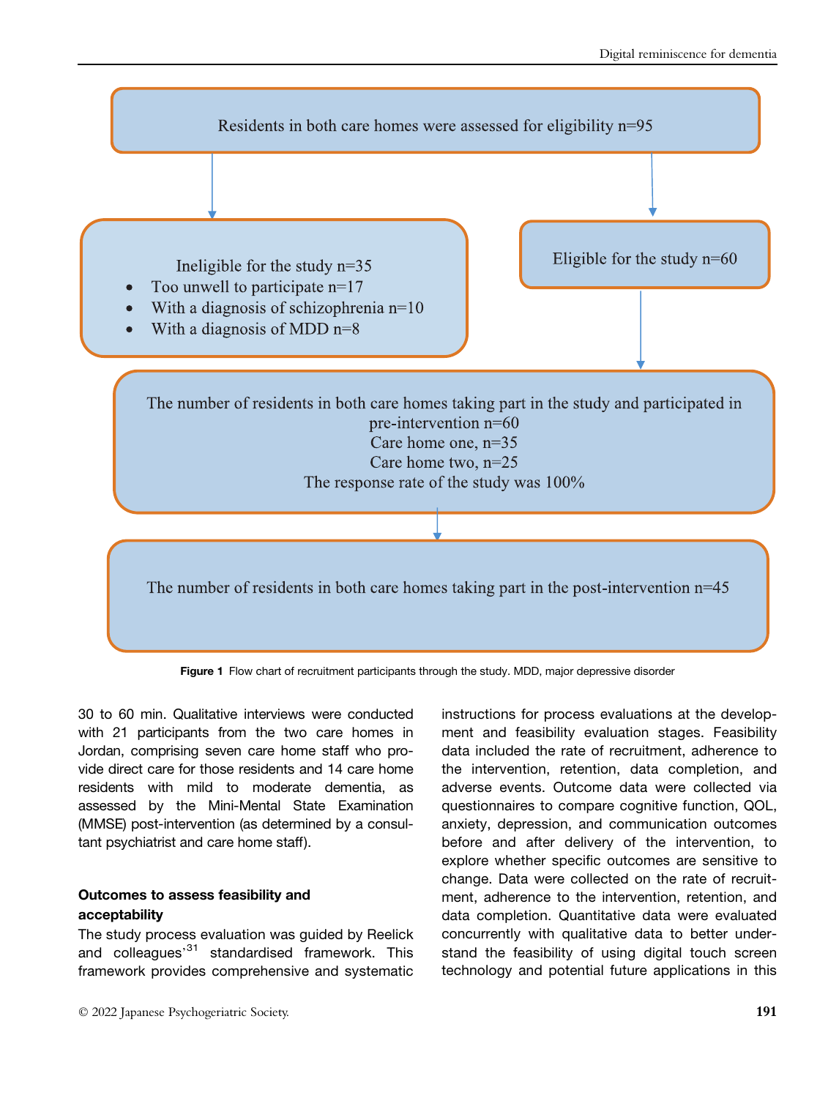

Figure 1 Flow chart of recruitment participants through the study. MDD, major depressive disorder

30 to 60 min. Qualitative interviews were conducted with 21 participants from the two care homes in Jordan, comprising seven care home staff who provide direct care for those residents and 14 care home residents with mild to moderate dementia, as assessed by the Mini-Mental State Examination (MMSE) post-intervention (as determined by a consultant psychiatrist and care home staff).

# Outcomes to assess feasibility and acceptability

The study process evaluation was guided by Reelick and colleagues<sup>,31</sup> standardised framework. This framework provides comprehensive and systematic ment and feasibility evaluation stages. Feasibility data included the rate of recruitment, adherence to the intervention, retention, data completion, and adverse events. Outcome data were collected via questionnaires to compare cognitive function, QOL, anxiety, depression, and communication outcomes before and after delivery of the intervention, to explore whether specific outcomes are sensitive to change. Data were collected on the rate of recruitment, adherence to the intervention, retention, and data completion. Quantitative data were evaluated concurrently with qualitative data to better understand the feasibility of using digital touch screen technology and potential future applications in this

instructions for process evaluations at the develop-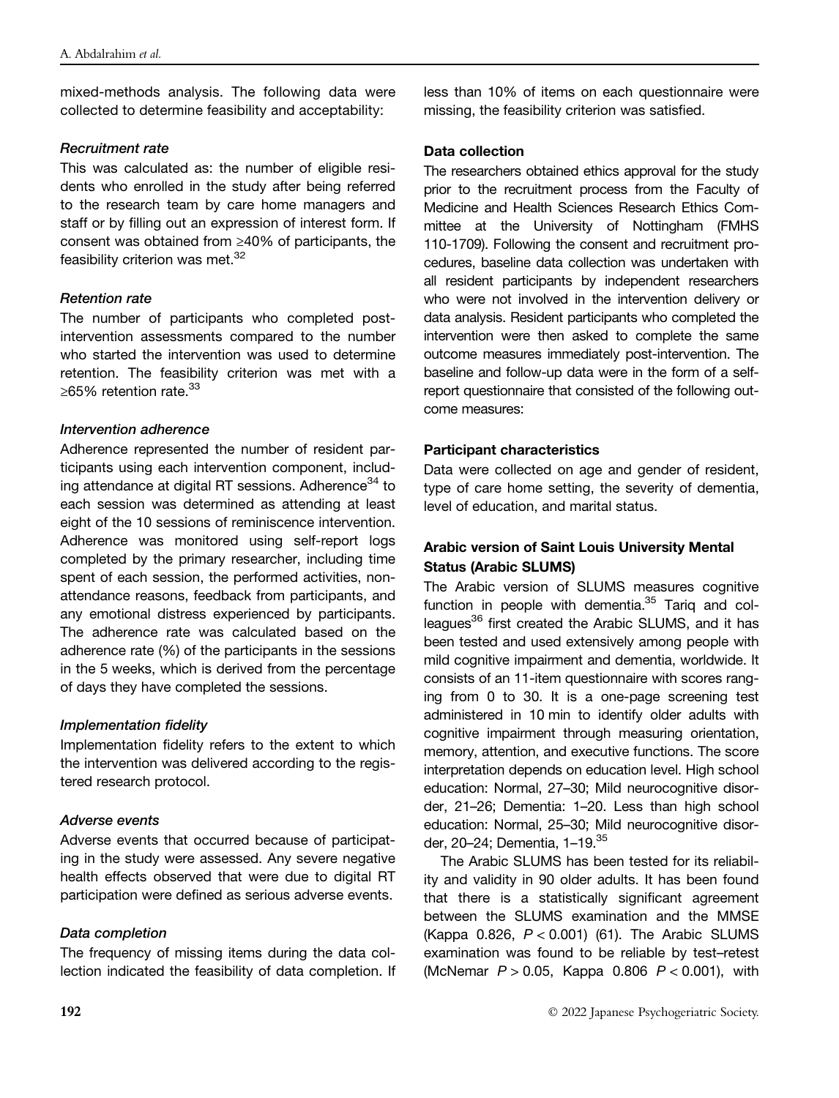mixed-methods analysis. The following data were collected to determine feasibility and acceptability:

### Recruitment rate

This was calculated as: the number of eligible residents who enrolled in the study after being referred to the research team by care home managers and staff or by filling out an expression of interest form. If consent was obtained from ≥40% of participants, the feasibility criterion was met.<sup>32</sup>

## Retention rate

The number of participants who completed postintervention assessments compared to the number who started the intervention was used to determine retention. The feasibility criterion was met with a ≥65% retention rate.<sup>33</sup>

## Intervention adherence

Adherence represented the number of resident participants using each intervention component, including attendance at digital RT sessions. Adherence<sup>34</sup> to each session was determined as attending at least eight of the 10 sessions of reminiscence intervention. Adherence was monitored using self-report logs completed by the primary researcher, including time spent of each session, the performed activities, nonattendance reasons, feedback from participants, and any emotional distress experienced by participants. The adherence rate was calculated based on the adherence rate (%) of the participants in the sessions in the 5 weeks, which is derived from the percentage of days they have completed the sessions.

# Implementation fidelity

Implementation fidelity refers to the extent to which the intervention was delivered according to the registered research protocol.

# Adverse events

Adverse events that occurred because of participating in the study were assessed. Any severe negative health effects observed that were due to digital RT participation were defined as serious adverse events.

# Data completion

The frequency of missing items during the data collection indicated the feasibility of data completion. If less than 10% of items on each questionnaire were missing, the feasibility criterion was satisfied.

## Data collection

The researchers obtained ethics approval for the study prior to the recruitment process from the Faculty of Medicine and Health Sciences Research Ethics Committee at the University of Nottingham (FMHS 110-1709). Following the consent and recruitment procedures, baseline data collection was undertaken with all resident participants by independent researchers who were not involved in the intervention delivery or data analysis. Resident participants who completed the intervention were then asked to complete the same outcome measures immediately post-intervention. The baseline and follow-up data were in the form of a selfreport questionnaire that consisted of the following outcome measures:

## Participant characteristics

Data were collected on age and gender of resident, type of care home setting, the severity of dementia, level of education, and marital status.

# Arabic version of Saint Louis University Mental Status (Arabic SLUMS)

The Arabic version of SLUMS measures cognitive function in people with dementia. $35$  Tariq and colleagues<sup>36</sup> first created the Arabic SLUMS, and it has been tested and used extensively among people with mild cognitive impairment and dementia, worldwide. It consists of an 11-item questionnaire with scores ranging from 0 to 30. It is a one-page screening test administered in 10 min to identify older adults with cognitive impairment through measuring orientation, memory, attention, and executive functions. The score interpretation depends on education level. High school education: Normal, 27–30; Mild neurocognitive disorder, 21–26; Dementia: 1–20. Less than high school education: Normal, 25–30; Mild neurocognitive disorder, 20-24; Dementia, 1-19.<sup>35</sup>

The Arabic SLUMS has been tested for its reliability and validity in 90 older adults. It has been found that there is a statistically significant agreement between the SLUMS examination and the MMSE (Kappa 0.826,  $P < 0.001$ ) (61). The Arabic SLUMS examination was found to be reliable by test–retest (McNemar  $P > 0.05$ , Kappa 0.806  $P < 0.001$ ), with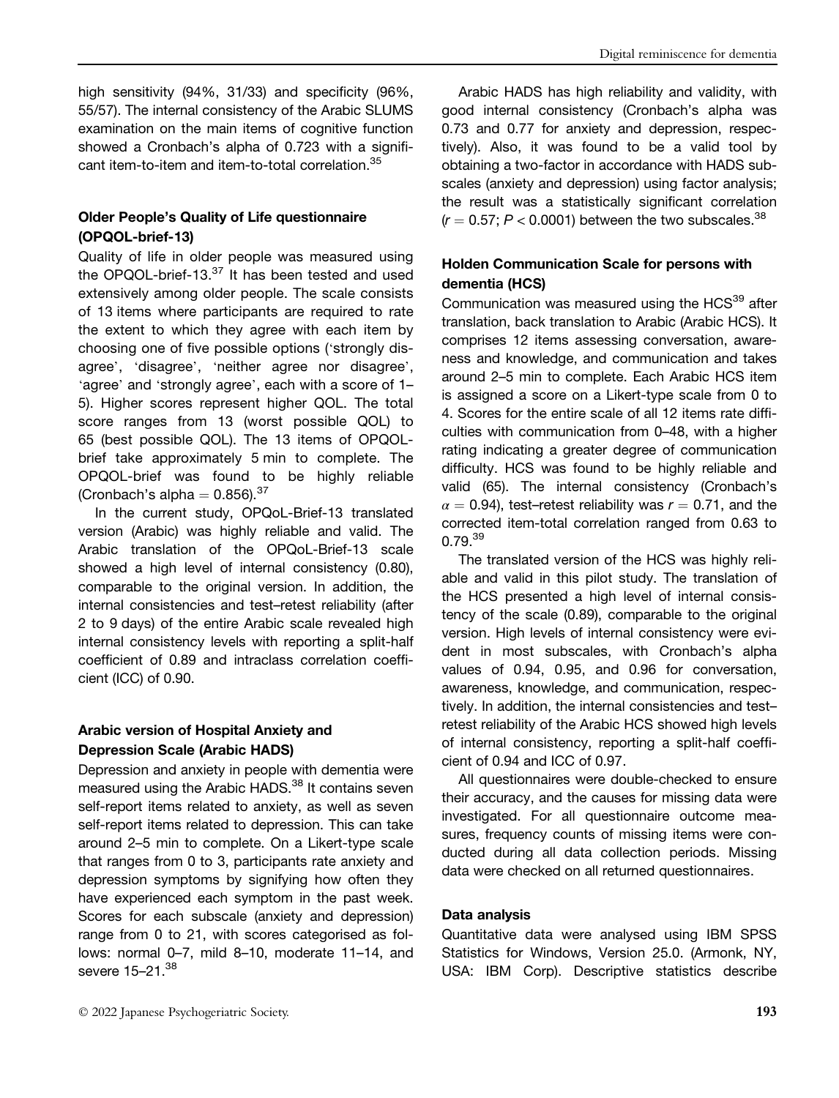high sensitivity (94%, 31/33) and specificity (96%, 55/57). The internal consistency of the Arabic SLUMS examination on the main items of cognitive function showed a Cronbach's alpha of 0.723 with a significant item-to-item and item-to-total correlation.<sup>35</sup>

# Older People's Quality of Life questionnaire (OPQOL-brief-13)

Quality of life in older people was measured using the OPQOL-brief-13. $37$  It has been tested and used extensively among older people. The scale consists of 13 items where participants are required to rate the extent to which they agree with each item by choosing one of five possible options ('strongly disagree', 'disagree', 'neither agree nor disagree', 'agree' and 'strongly agree', each with a score of 1– 5). Higher scores represent higher QOL. The total score ranges from 13 (worst possible QOL) to 65 (best possible QOL). The 13 items of OPQOLbrief take approximately 5 min to complete. The OPQOL-brief was found to be highly reliable (Cronbach's alpha  $= 0.856$ ).  $37$ 

In the current study, OPQoL-Brief-13 translated version (Arabic) was highly reliable and valid. The Arabic translation of the OPQoL-Brief-13 scale showed a high level of internal consistency (0.80), comparable to the original version. In addition, the internal consistencies and test–retest reliability (after 2 to 9 days) of the entire Arabic scale revealed high internal consistency levels with reporting a split-half coefficient of 0.89 and intraclass correlation coefficient (ICC) of 0.90.

# Arabic version of Hospital Anxiety and Depression Scale (Arabic HADS)

Depression and anxiety in people with dementia were measured using the Arabic HADS.<sup>38</sup> It contains seven self-report items related to anxiety, as well as seven self-report items related to depression. This can take around 2–5 min to complete. On a Likert-type scale that ranges from 0 to 3, participants rate anxiety and depression symptoms by signifying how often they have experienced each symptom in the past week. Scores for each subscale (anxiety and depression) range from 0 to 21, with scores categorised as follows: normal 0–7, mild 8–10, moderate 11–14, and severe 15-21.<sup>38</sup>

Arabic HADS has high reliability and validity, with good internal consistency (Cronbach's alpha was 0.73 and 0.77 for anxiety and depression, respectively). Also, it was found to be a valid tool by obtaining a two-factor in accordance with HADS subscales (anxiety and depression) using factor analysis; the result was a statistically significant correlation  $(r = 0.57; P < 0.0001)$  between the two subscales.<sup>38</sup>

# Holden Communication Scale for persons with dementia (HCS)

Communication was measured using the  $HCS<sup>39</sup>$  after translation, back translation to Arabic (Arabic HCS). It comprises 12 items assessing conversation, awareness and knowledge, and communication and takes around 2–5 min to complete. Each Arabic HCS item is assigned a score on a Likert-type scale from 0 to 4. Scores for the entire scale of all 12 items rate difficulties with communication from 0–48, with a higher rating indicating a greater degree of communication difficulty. HCS was found to be highly reliable and valid (65). The internal consistency (Cronbach's  $\alpha = 0.94$ ), test–retest reliability was  $r = 0.71$ , and the corrected item-total correlation ranged from 0.63 to  $0.79.<sup>39</sup>$ 

The translated version of the HCS was highly reliable and valid in this pilot study. The translation of the HCS presented a high level of internal consistency of the scale (0.89), comparable to the original version. High levels of internal consistency were evident in most subscales, with Cronbach's alpha values of 0.94, 0.95, and 0.96 for conversation, awareness, knowledge, and communication, respectively. In addition, the internal consistencies and test– retest reliability of the Arabic HCS showed high levels of internal consistency, reporting a split-half coefficient of 0.94 and ICC of 0.97.

All questionnaires were double-checked to ensure their accuracy, and the causes for missing data were investigated. For all questionnaire outcome measures, frequency counts of missing items were conducted during all data collection periods. Missing data were checked on all returned questionnaires.

# Data analysis

Quantitative data were analysed using IBM SPSS Statistics for Windows, Version 25.0. (Armonk, NY, USA: IBM Corp). Descriptive statistics describe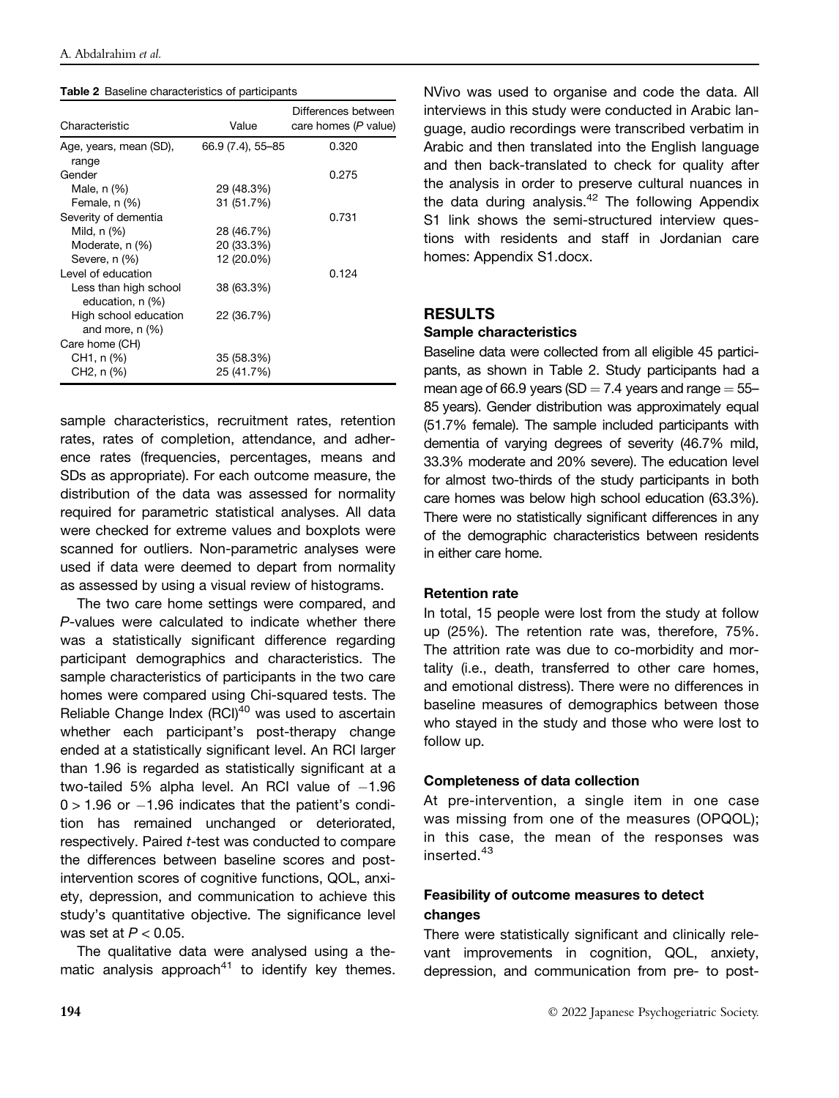|  |  | Table 2 Baseline characteristics of participants |  |  |
|--|--|--------------------------------------------------|--|--|
|--|--|--------------------------------------------------|--|--|

| Characteristic                             | Value             | Differences between<br>care homes (P value) |
|--------------------------------------------|-------------------|---------------------------------------------|
| Age, years, mean (SD),<br>range            | 66.9 (7.4), 55-85 | 0.320                                       |
| Gender                                     |                   | 0.275                                       |
| Male, n (%)                                | 29 (48.3%)        |                                             |
| Female, n (%)                              | 31 (51.7%)        |                                             |
| Severity of dementia                       |                   | 0.731                                       |
| Mild, n (%)                                | 28 (46.7%)        |                                             |
| Moderate, n (%)                            | 20 (33.3%)        |                                             |
| Severe, n (%)                              | 12 (20.0%)        |                                             |
| Level of education                         |                   | 0.124                                       |
| Less than high school<br>education, n (%)  | 38 (63.3%)        |                                             |
| High school education<br>and more, $n$ (%) | 22 (36.7%)        |                                             |
| Care home (CH)                             |                   |                                             |
| CH1, n (%)                                 | 35 (58.3%)        |                                             |
| CH2, n (%)                                 | 25 (41.7%)        |                                             |

sample characteristics, recruitment rates, retention rates, rates of completion, attendance, and adherence rates (frequencies, percentages, means and SDs as appropriate). For each outcome measure, the distribution of the data was assessed for normality required for parametric statistical analyses. All data were checked for extreme values and boxplots were scanned for outliers. Non-parametric analyses were used if data were deemed to depart from normality as assessed by using a visual review of histograms.

The two care home settings were compared, and P-values were calculated to indicate whether there was a statistically significant difference regarding participant demographics and characteristics. The sample characteristics of participants in the two care homes were compared using Chi-squared tests. The Reliable Change Index  $(RCl)^{40}$  was used to ascertain whether each participant's post-therapy change ended at a statistically significant level. An RCI larger than 1.96 is regarded as statistically significant at a two-tailed 5% alpha level. An RCI value of  $-1.96$  $0 > 1.96$  or  $-1.96$  indicates that the patient's condition has remained unchanged or deteriorated, respectively. Paired t-test was conducted to compare the differences between baseline scores and postintervention scores of cognitive functions, QOL, anxiety, depression, and communication to achieve this study's quantitative objective. The significance level was set at  $P < 0.05$ .

The qualitative data were analysed using a thematic analysis approach<sup>41</sup> to identify key themes.

NVivo was used to organise and code the data. All interviews in this study were conducted in Arabic language, audio recordings were transcribed verbatim in Arabic and then translated into the English language and then back-translated to check for quality after the analysis in order to preserve cultural nuances in the data during analysis.<sup>42</sup> The following Appendix S1 link shows the semi-structured interview questions with residents and staff in Jordanian care homes: Appendix S1.docx.

## RESULTS

#### Sample characteristics

Baseline data were collected from all eligible 45 participants, as shown in Table 2. Study participants had a mean age of 66.9 years (SD = 7.4 years and range =  $55-$ 85 years). Gender distribution was approximately equal (51.7% female). The sample included participants with dementia of varying degrees of severity (46.7% mild, 33.3% moderate and 20% severe). The education level for almost two-thirds of the study participants in both care homes was below high school education (63.3%). There were no statistically significant differences in any of the demographic characteristics between residents in either care home.

#### Retention rate

In total, 15 people were lost from the study at follow up (25%). The retention rate was, therefore, 75%. The attrition rate was due to co-morbidity and mortality (i.e., death, transferred to other care homes, and emotional distress). There were no differences in baseline measures of demographics between those who stayed in the study and those who were lost to follow up.

#### Completeness of data collection

At pre-intervention, a single item in one case was missing from one of the measures (OPQOL); in this case, the mean of the responses was inserted.<sup>43</sup>

# Feasibility of outcome measures to detect changes

There were statistically significant and clinically relevant improvements in cognition, QOL, anxiety, depression, and communication from pre- to post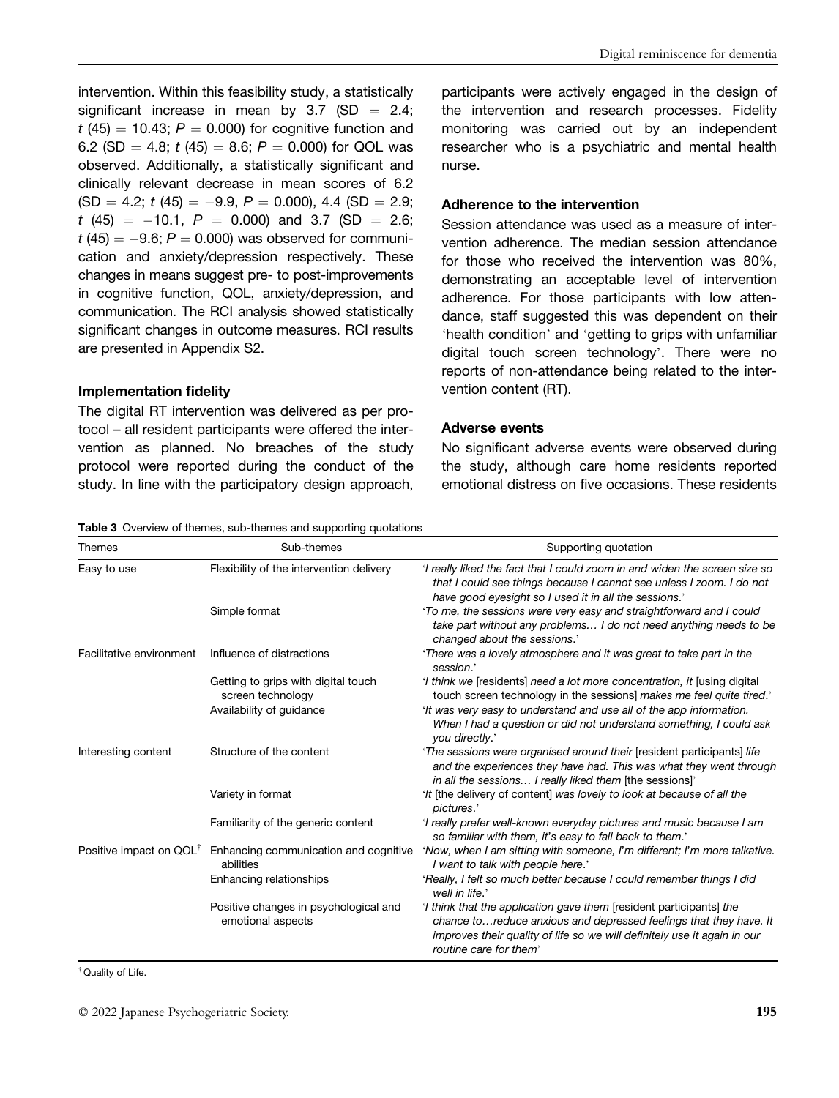intervention. Within this feasibility study, a statistically significant increase in mean by  $3.7$  (SD = 2.4;  $t$  (45) = 10.43;  $P = 0.000$ ) for cognitive function and 6.2 (SD = 4.8;  $t$  (45) = 8.6;  $P = 0.000$ ) for QOL was observed. Additionally, a statistically significant and clinically relevant decrease in mean scores of 6.2  $(SD = 4.2; t (45) = -9.9, P = 0.000), 4.4 (SD = 2.9;$  $t$  (45) = -10.1,  $P = 0.000$ ) and 3.7 (SD = 2.6;  $t$  (45)  $= -9.6$ ;  $P = 0.000$ ) was observed for communication and anxiety/depression respectively. These changes in means suggest pre- to post-improvements in cognitive function, QOL, anxiety/depression, and communication. The RCI analysis showed statistically significant changes in outcome measures. RCI results are presented in Appendix S2.

# Implementation fidelity

The digital RT intervention was delivered as per protocol – all resident participants were offered the intervention as planned. No breaches of the study protocol were reported during the conduct of the study. In line with the participatory design approach,

#### Table 3 Overview of themes, sub-themes and supporting quotations

participants were actively engaged in the design of the intervention and research processes. Fidelity monitoring was carried out by an independent researcher who is a psychiatric and mental health nurse.

### Adherence to the intervention

Session attendance was used as a measure of intervention adherence. The median session attendance for those who received the intervention was 80%, demonstrating an acceptable level of intervention adherence. For those participants with low attendance, staff suggested this was dependent on their 'health condition' and 'getting to grips with unfamiliar digital touch screen technology'. There were no reports of non-attendance being related to the intervention content (RT).

#### Adverse events

No significant adverse events were observed during the study, although care home residents reported emotional distress on five occasions. These residents

| Themes                              | Sub-themes                                                 | Supporting quotation                                                                                                                                                                                                                           |
|-------------------------------------|------------------------------------------------------------|------------------------------------------------------------------------------------------------------------------------------------------------------------------------------------------------------------------------------------------------|
| Easy to use                         | Flexibility of the intervention delivery                   | 'I really liked the fact that I could zoom in and widen the screen size so<br>that I could see things because I cannot see unless I zoom. I do not<br>have good eyesight so I used it in all the sessions.'                                    |
|                                     | Simple format                                              | 'To me, the sessions were very easy and straightforward and I could<br>take part without any problems I do not need anything needs to be<br>changed about the sessions.'                                                                       |
| Facilitative environment            | Influence of distractions                                  | 'There was a lovely atmosphere and it was great to take part in the<br>session.'                                                                                                                                                               |
|                                     | Getting to grips with digital touch<br>screen technology   | 'I think we [residents] need a lot more concentration, it [using digital]<br>touch screen technology in the sessions] makes me feel quite tired.                                                                                               |
|                                     | Availability of guidance                                   | 'It was very easy to understand and use all of the app information.<br>When I had a question or did not understand something, I could ask<br>you directly.'                                                                                    |
| Interesting content                 | Structure of the content                                   | 'The sessions were organised around their [resident participants] life<br>and the experiences they have had. This was what they went through<br>in all the sessions I really liked them [the sessions]                                         |
|                                     | Variety in format                                          | 'It [the delivery of content] was lovely to look at because of all the<br>pictures.'                                                                                                                                                           |
|                                     | Familiarity of the generic content                         | 'I really prefer well-known everyday pictures and music because I am<br>so familiar with them, it's easy to fall back to them.'                                                                                                                |
| Positive impact on QOL <sup>†</sup> | Enhancing communication and cognitive<br>abilities         | 'Now, when I am sitting with someone, I'm different; I'm more talkative.<br>I want to talk with people here.'                                                                                                                                  |
|                                     | Enhancing relationships                                    | 'Really, I felt so much better because I could remember things I did<br>well in life.'                                                                                                                                                         |
|                                     | Positive changes in psychological and<br>emotional aspects | I think that the application gave them [resident participants] the<br>chance to reduce anxious and depressed feelings that they have. It<br>improves their quality of life so we will definitely use it again in our<br>routine care for them' |

† Quality of Life.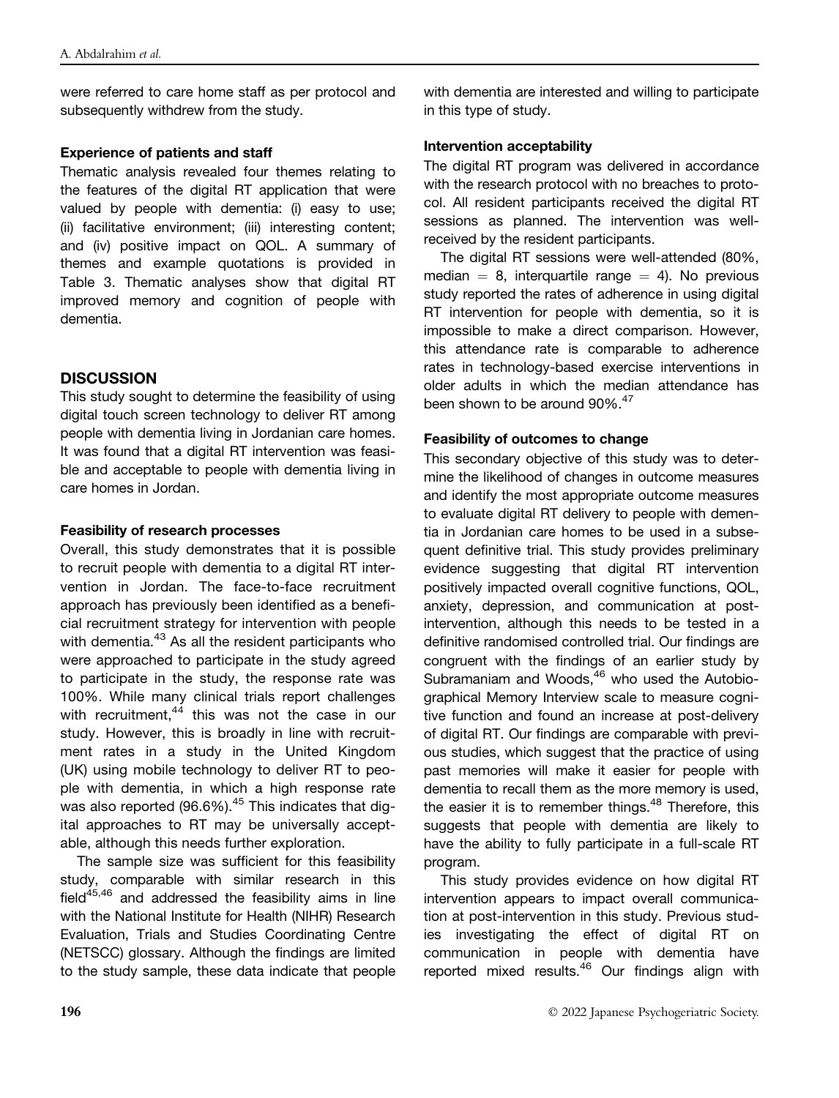were referred to care home staff as per protocol and subsequently withdrew from the study.

### Experience of patients and staff

Thematic analysis revealed four themes relating to the features of the digital RT application that were valued by people with dementia: (i) easy to use; (ii) facilitative environment; (iii) interesting content; and (iv) positive impact on QOL. A summary of themes and example quotations is provided in Table 3. Thematic analyses show that digital RT improved memory and cognition of people with dementia.

# **DISCUSSION**

This study sought to determine the feasibility of using digital touch screen technology to deliver RT among people with dementia living in Jordanian care homes. It was found that a digital RT intervention was feasible and acceptable to people with dementia living in care homes in Jordan.

## Feasibility of research processes

Overall, this study demonstrates that it is possible to recruit people with dementia to a digital RT intervention in Jordan. The face-to-face recruitment approach has previously been identified as a beneficial recruitment strategy for intervention with people with dementia.<sup>43</sup> As all the resident participants who were approached to participate in the study agreed to participate in the study, the response rate was 100%. While many clinical trials report challenges with recruitment, $44$  this was not the case in our study. However, this is broadly in line with recruitment rates in a study in the United Kingdom (UK) using mobile technology to deliver RT to people with dementia, in which a high response rate was also reported (96.6%).<sup>45</sup> This indicates that digital approaches to RT may be universally acceptable, although this needs further exploration.

The sample size was sufficient for this feasibility study, comparable with similar research in this field $45,46$  and addressed the feasibility aims in line with the National Institute for Health (NIHR) Research Evaluation, Trials and Studies Coordinating Centre (NETSCC) glossary. Although the findings are limited to the study sample, these data indicate that people with dementia are interested and willing to participate in this type of study.

## Intervention acceptability

The digital RT program was delivered in accordance with the research protocol with no breaches to protocol. All resident participants received the digital RT sessions as planned. The intervention was wellreceived by the resident participants.

The digital RT sessions were well-attended (80%, median  $= 8$ , interquartile range  $= 4$ ). No previous study reported the rates of adherence in using digital RT intervention for people with dementia, so it is impossible to make a direct comparison. However, this attendance rate is comparable to adherence rates in technology-based exercise interventions in older adults in which the median attendance has been shown to be around 90%.<sup>47</sup>

## Feasibility of outcomes to change

This secondary objective of this study was to determine the likelihood of changes in outcome measures and identify the most appropriate outcome measures to evaluate digital RT delivery to people with dementia in Jordanian care homes to be used in a subsequent definitive trial. This study provides preliminary evidence suggesting that digital RT intervention positively impacted overall cognitive functions, QOL, anxiety, depression, and communication at postintervention, although this needs to be tested in a definitive randomised controlled trial. Our findings are congruent with the findings of an earlier study by Subramaniam and Woods,<sup>46</sup> who used the Autobiographical Memory Interview scale to measure cognitive function and found an increase at post-delivery of digital RT. Our findings are comparable with previous studies, which suggest that the practice of using past memories will make it easier for people with dementia to recall them as the more memory is used, the easier it is to remember things. $48$  Therefore, this suggests that people with dementia are likely to have the ability to fully participate in a full-scale RT program.

This study provides evidence on how digital RT intervention appears to impact overall communication at post-intervention in this study. Previous studies investigating the effect of digital RT on communication in people with dementia have reported mixed results.<sup>46</sup> Our findings align with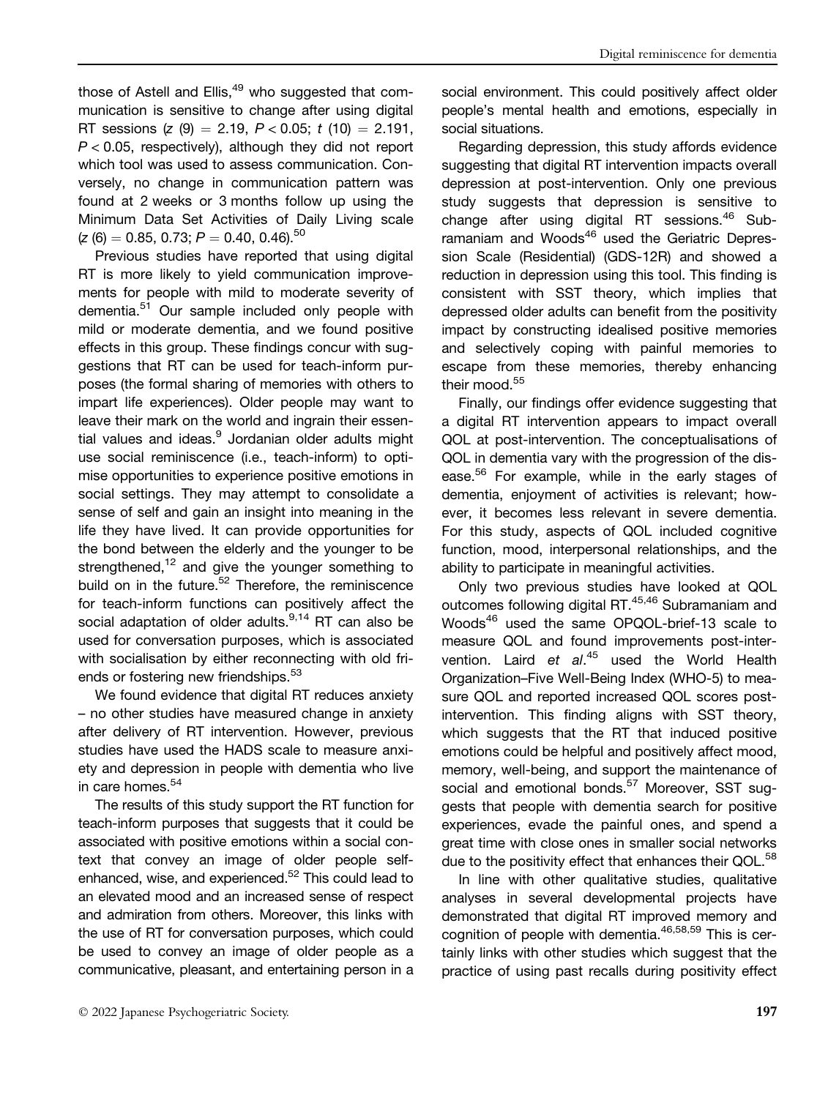those of Astell and Ellis, $49$  who suggested that communication is sensitive to change after using digital RT sessions (z  $(9) = 2.19$ ,  $P < 0.05$ ; t  $(10) = 2.191$ ,  $P < 0.05$ , respectively), although they did not report which tool was used to assess communication. Conversely, no change in communication pattern was found at 2 weeks or 3 months follow up using the Minimum Data Set Activities of Daily Living scale  $(z$  (6) = 0.85, 0.73; P = 0.40, 0.46).<sup>50</sup>

Previous studies have reported that using digital RT is more likely to yield communication improvements for people with mild to moderate severity of dementia.<sup>51</sup> Our sample included only people with mild or moderate dementia, and we found positive effects in this group. These findings concur with suggestions that RT can be used for teach-inform purposes (the formal sharing of memories with others to impart life experiences). Older people may want to leave their mark on the world and ingrain their essential values and ideas.<sup>9</sup> Jordanian older adults might use social reminiscence (i.e., teach-inform) to optimise opportunities to experience positive emotions in social settings. They may attempt to consolidate a sense of self and gain an insight into meaning in the life they have lived. It can provide opportunities for the bond between the elderly and the younger to be strengthened, $12$  and give the younger something to build on in the future.<sup>52</sup> Therefore, the reminiscence for teach-inform functions can positively affect the social adaptation of older adults.<sup>9,14</sup> RT can also be used for conversation purposes, which is associated with socialisation by either reconnecting with old friends or fostering new friendships.<sup>53</sup>

We found evidence that digital RT reduces anxiety – no other studies have measured change in anxiety after delivery of RT intervention. However, previous studies have used the HADS scale to measure anxiety and depression in people with dementia who live in care homes.<sup>54</sup>

The results of this study support the RT function for teach-inform purposes that suggests that it could be associated with positive emotions within a social context that convey an image of older people selfenhanced, wise, and experienced.52 This could lead to an elevated mood and an increased sense of respect and admiration from others. Moreover, this links with the use of RT for conversation purposes, which could be used to convey an image of older people as a communicative, pleasant, and entertaining person in a

social environment. This could positively affect older people's mental health and emotions, especially in social situations.

Regarding depression, this study affords evidence suggesting that digital RT intervention impacts overall depression at post-intervention. Only one previous study suggests that depression is sensitive to change after using digital RT sessions.<sup>46</sup> Subramaniam and Woods<sup>46</sup> used the Geriatric Depression Scale (Residential) (GDS-12R) and showed a reduction in depression using this tool. This finding is consistent with SST theory, which implies that depressed older adults can benefit from the positivity impact by constructing idealised positive memories and selectively coping with painful memories to escape from these memories, thereby enhancing their mood.<sup>55</sup>

Finally, our findings offer evidence suggesting that a digital RT intervention appears to impact overall QOL at post-intervention. The conceptualisations of QOL in dementia vary with the progression of the disease.<sup>56</sup> For example, while in the early stages of dementia, enjoyment of activities is relevant; however, it becomes less relevant in severe dementia. For this study, aspects of QOL included cognitive function, mood, interpersonal relationships, and the ability to participate in meaningful activities.

Only two previous studies have looked at QOL outcomes following digital RT.<sup>45,46</sup> Subramaniam and Woods<sup>46</sup> used the same OPQOL-brief-13 scale to measure QOL and found improvements post-intervention. Laird et al.<sup>45</sup> used the World Health Organization–Five Well-Being Index (WHO-5) to measure QOL and reported increased QOL scores postintervention. This finding aligns with SST theory, which suggests that the RT that induced positive emotions could be helpful and positively affect mood, memory, well-being, and support the maintenance of social and emotional bonds.<sup>57</sup> Moreover, SST suggests that people with dementia search for positive experiences, evade the painful ones, and spend a great time with close ones in smaller social networks due to the positivity effect that enhances their QOL.<sup>58</sup>

In line with other qualitative studies, qualitative analyses in several developmental projects have demonstrated that digital RT improved memory and cognition of people with dementia.<sup>46,58,59</sup> This is certainly links with other studies which suggest that the practice of using past recalls during positivity effect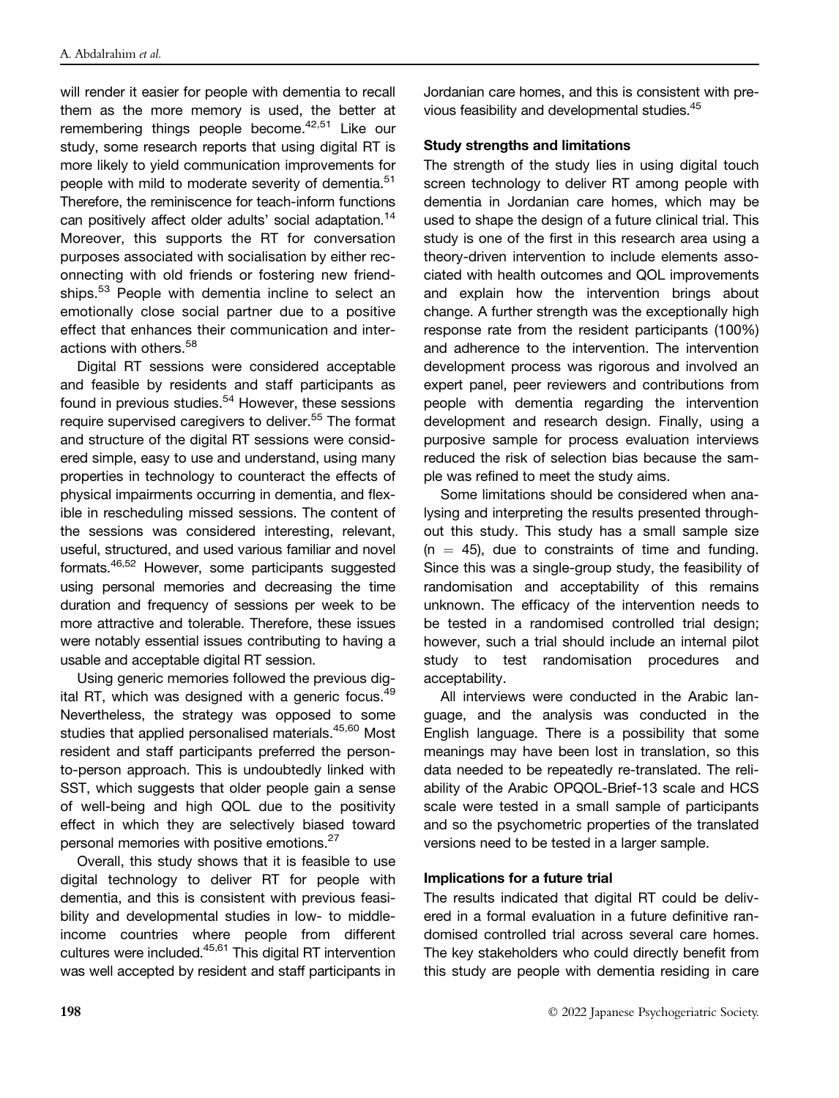will render it easier for people with dementia to recall them as the more memory is used, the better at remembering things people become.<sup>42,51</sup> Like our study, some research reports that using digital RT is more likely to yield communication improvements for people with mild to moderate severity of dementia.<sup>51</sup> Therefore, the reminiscence for teach-inform functions can positively affect older adults' social adaptation.<sup>14</sup> Moreover, this supports the RT for conversation purposes associated with socialisation by either reconnecting with old friends or fostering new friendships.<sup>53</sup> People with dementia incline to select an emotionally close social partner due to a positive effect that enhances their communication and interactions with others.<sup>58</sup>

Digital RT sessions were considered acceptable and feasible by residents and staff participants as found in previous studies.<sup>54</sup> However, these sessions require supervised caregivers to deliver.<sup>55</sup> The format and structure of the digital RT sessions were considered simple, easy to use and understand, using many properties in technology to counteract the effects of physical impairments occurring in dementia, and flexible in rescheduling missed sessions. The content of the sessions was considered interesting, relevant, useful, structured, and used various familiar and novel formats.46,52 However, some participants suggested using personal memories and decreasing the time duration and frequency of sessions per week to be more attractive and tolerable. Therefore, these issues were notably essential issues contributing to having a usable and acceptable digital RT session.

Using generic memories followed the previous digital RT, which was designed with a generic focus.<sup>49</sup> Nevertheless, the strategy was opposed to some studies that applied personalised materials.<sup>45,60</sup> Most resident and staff participants preferred the personto-person approach. This is undoubtedly linked with SST, which suggests that older people gain a sense of well-being and high QOL due to the positivity effect in which they are selectively biased toward personal memories with positive emotions.<sup>27</sup>

Overall, this study shows that it is feasible to use digital technology to deliver RT for people with dementia, and this is consistent with previous feasibility and developmental studies in low- to middleincome countries where people from different cultures were included.45,61 This digital RT intervention was well accepted by resident and staff participants in Jordanian care homes, and this is consistent with previous feasibility and developmental studies.45

# Study strengths and limitations

The strength of the study lies in using digital touch screen technology to deliver RT among people with dementia in Jordanian care homes, which may be used to shape the design of a future clinical trial. This study is one of the first in this research area using a theory-driven intervention to include elements associated with health outcomes and QOL improvements and explain how the intervention brings about change. A further strength was the exceptionally high response rate from the resident participants (100%) and adherence to the intervention. The intervention development process was rigorous and involved an expert panel, peer reviewers and contributions from people with dementia regarding the intervention development and research design. Finally, using a purposive sample for process evaluation interviews reduced the risk of selection bias because the sample was refined to meet the study aims.

Some limitations should be considered when analysing and interpreting the results presented throughout this study. This study has a small sample size  $(n = 45)$ , due to constraints of time and funding. Since this was a single-group study, the feasibility of randomisation and acceptability of this remains unknown. The efficacy of the intervention needs to be tested in a randomised controlled trial design; however, such a trial should include an internal pilot study to test randomisation procedures and acceptability.

All interviews were conducted in the Arabic language, and the analysis was conducted in the English language. There is a possibility that some meanings may have been lost in translation, so this data needed to be repeatedly re-translated. The reliability of the Arabic OPQOL-Brief-13 scale and HCS scale were tested in a small sample of participants and so the psychometric properties of the translated versions need to be tested in a larger sample.

#### Implications for a future trial

The results indicated that digital RT could be delivered in a formal evaluation in a future definitive randomised controlled trial across several care homes. The key stakeholders who could directly benefit from this study are people with dementia residing in care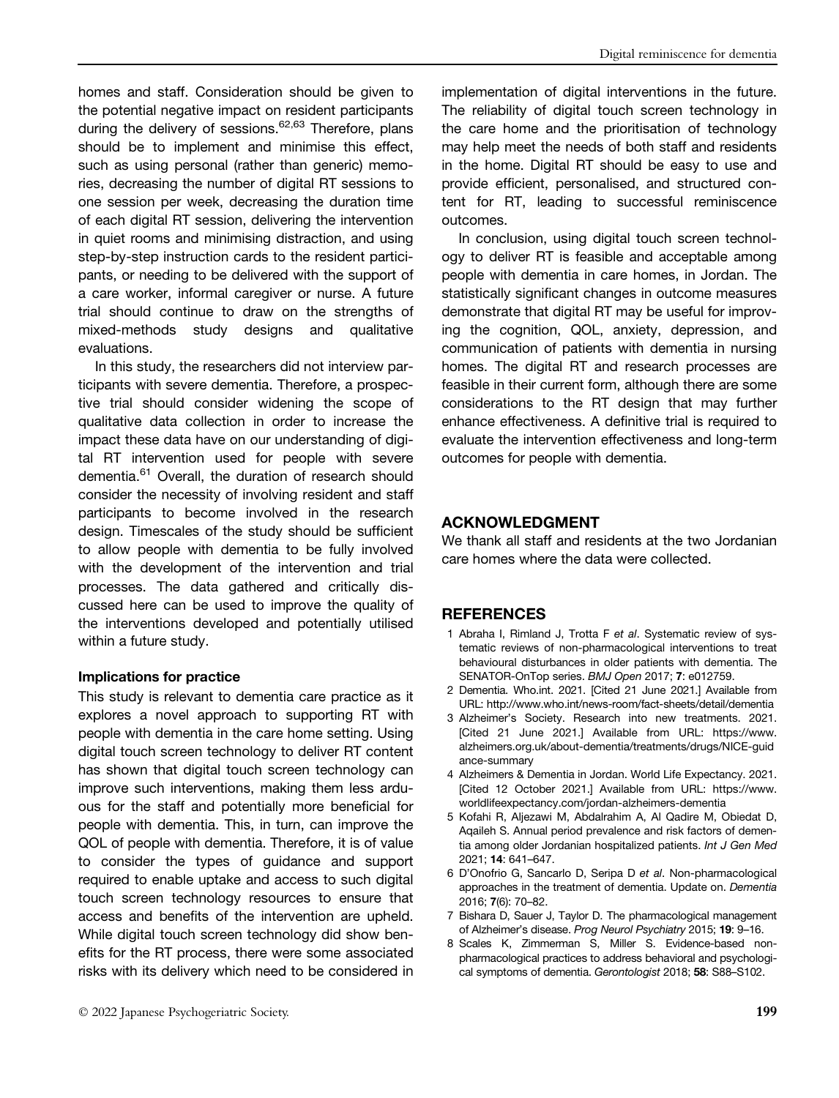homes and staff. Consideration should be given to the potential negative impact on resident participants during the delivery of sessions. $62,63$  Therefore, plans should be to implement and minimise this effect, such as using personal (rather than generic) memories, decreasing the number of digital RT sessions to one session per week, decreasing the duration time of each digital RT session, delivering the intervention in quiet rooms and minimising distraction, and using step-by-step instruction cards to the resident participants, or needing to be delivered with the support of a care worker, informal caregiver or nurse. A future trial should continue to draw on the strengths of mixed-methods study designs and qualitative evaluations.

In this study, the researchers did not interview participants with severe dementia. Therefore, a prospective trial should consider widening the scope of qualitative data collection in order to increase the impact these data have on our understanding of digital RT intervention used for people with severe dementia.<sup>61</sup> Overall, the duration of research should consider the necessity of involving resident and staff participants to become involved in the research design. Timescales of the study should be sufficient to allow people with dementia to be fully involved with the development of the intervention and trial processes. The data gathered and critically discussed here can be used to improve the quality of the interventions developed and potentially utilised within a future study.

#### Implications for practice

This study is relevant to dementia care practice as it explores a novel approach to supporting RT with people with dementia in the care home setting. Using digital touch screen technology to deliver RT content has shown that digital touch screen technology can improve such interventions, making them less arduous for the staff and potentially more beneficial for people with dementia. This, in turn, can improve the QOL of people with dementia. Therefore, it is of value to consider the types of guidance and support required to enable uptake and access to such digital touch screen technology resources to ensure that access and benefits of the intervention are upheld. While digital touch screen technology did show benefits for the RT process, there were some associated risks with its delivery which need to be considered in implementation of digital interventions in the future. The reliability of digital touch screen technology in the care home and the prioritisation of technology may help meet the needs of both staff and residents in the home. Digital RT should be easy to use and provide efficient, personalised, and structured content for RT, leading to successful reminiscence outcomes.

In conclusion, using digital touch screen technology to deliver RT is feasible and acceptable among people with dementia in care homes, in Jordan. The statistically significant changes in outcome measures demonstrate that digital RT may be useful for improving the cognition, QOL, anxiety, depression, and communication of patients with dementia in nursing homes. The digital RT and research processes are feasible in their current form, although there are some considerations to the RT design that may further enhance effectiveness. A definitive trial is required to evaluate the intervention effectiveness and long-term outcomes for people with dementia.

# ACKNOWLEDGMENT

We thank all staff and residents at the two Jordanian care homes where the data were collected.

# **REFERENCES**

- 1 Abraha I, Rimland J, Trotta F et al. Systematic review of systematic reviews of non-pharmacological interventions to treat behavioural disturbances in older patients with dementia. The SENATOR-OnTop series. BMJ Open 2017; 7: e012759.
- 2 Dementia. Who.int. 2021. [Cited 21 June 2021.] Available from URL:<http://www.who.int/news-room/fact-sheets/detail/dementia>
- 3 Alzheimer's Society. Research into new treatments. 2021. [Cited 21 June 2021.] Available from URL: [https://www.](https://www.alzheimers.org.uk/about-dementia/treatments/drugs/NICE-guidance-summary) [alzheimers.org.uk/about-dementia/treatments/drugs/NICE-guid](https://www.alzheimers.org.uk/about-dementia/treatments/drugs/NICE-guidance-summary) [ance-summary](https://www.alzheimers.org.uk/about-dementia/treatments/drugs/NICE-guidance-summary)
- 4 Alzheimers & Dementia in Jordan. World Life Expectancy. 2021. [Cited 12 October 2021.] Available from URL: [https://www.](https://www.worldlifeexpectancy.com/jordan-alzheimers-dementia) [worldlifeexpectancy.com/jordan-alzheimers-dementia](https://www.worldlifeexpectancy.com/jordan-alzheimers-dementia)
- 5 Kofahi R, Aljezawi M, Abdalrahim A, Al Qadire M, Obiedat D, Aqaileh S. Annual period prevalence and risk factors of dementia among older Jordanian hospitalized patients. Int J Gen Med 2021; 14: 641–647.
- 6 D'Onofrio G, Sancarlo D, Seripa D et al. Non-pharmacological approaches in the treatment of dementia. Update on. Dementia 2016; 7(6): 70–82.
- 7 Bishara D, Sauer J, Taylor D. The pharmacological management of Alzheimer's disease. Prog Neurol Psychiatry 2015; 19: 9–16.
- 8 Scales K, Zimmerman S, Miller S. Evidence-based nonpharmacological practices to address behavioral and psychological symptoms of dementia. Gerontologist 2018; 58: S88–S102.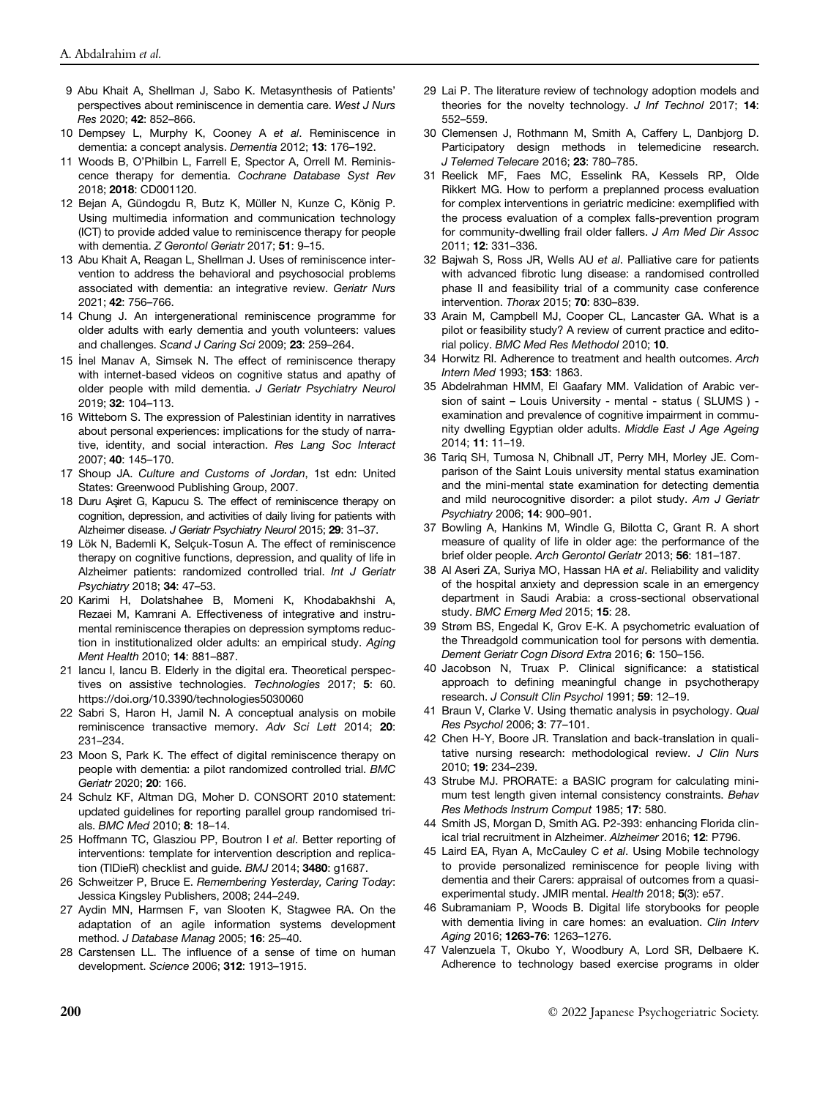- 9 Abu Khait A, Shellman J, Sabo K. Metasynthesis of Patients' perspectives about reminiscence in dementia care. West J Nurs Res 2020; 42: 852–866.
- 10 Dempsey L, Murphy K, Cooney A et al. Reminiscence in dementia: a concept analysis. Dementia 2012; 13: 176–192.
- 11 Woods B, O'Philbin L, Farrell E, Spector A, Orrell M. Reminiscence therapy for dementia. Cochrane Database Syst Rev 2018; 2018: CD001120.
- 12 Bejan A, Gündogdu R, Butz K, Müller N, Kunze C, König P. Using multimedia information and communication technology (ICT) to provide added value to reminiscence therapy for people with dementia. Z Gerontol Geriatr 2017; 51: 9–15.
- 13 Abu Khait A, Reagan L, Shellman J. Uses of reminiscence intervention to address the behavioral and psychosocial problems associated with dementia: an integrative review. Geriatr Nurs 2021; 42: 756–766.
- 14 Chung J. An intergenerational reminiscence programme for older adults with early dementia and youth volunteers: values and challenges. Scand J Caring Sci 2009; 23: 259–264.
- 15 Inel Manav A, Simsek N. The effect of reminiscence therapy with internet-based videos on cognitive status and apathy of older people with mild dementia. J Geriatr Psychiatry Neurol 2019; 32: 104–113.
- 16 Witteborn S. The expression of Palestinian identity in narratives about personal experiences: implications for the study of narrative, identity, and social interaction. Res Lang Soc Interact 2007; 40: 145–170.
- 17 Shoup JA. Culture and Customs of Jordan, 1st edn: United States: Greenwood Publishing Group, 2007.
- 18 Duru Agret G, Kapucu S. The effect of reminiscence therapy on cognition, depression, and activities of daily living for patients with Alzheimer disease. J Geriatr Psychiatry Neurol 2015; 29: 31–37.
- 19 Lök N, Bademli K, Selçuk-Tosun A. The effect of reminiscence therapy on cognitive functions, depression, and quality of life in Alzheimer patients: randomized controlled trial. Int J Geriatr Psychiatry 2018; 34: 47–53.
- 20 Karimi H, Dolatshahee B, Momeni K, Khodabakhshi A, Rezaei M, Kamrani A. Effectiveness of integrative and instrumental reminiscence therapies on depression symptoms reduction in institutionalized older adults: an empirical study. Aging Ment Health 2010; 14: 881–887.
- 21 Iancu I, Iancu B. Elderly in the digital era. Theoretical perspectives on assistive technologies. Technologies 2017; 5: 60. <https://doi.org/10.3390/technologies5030060>
- 22 Sabri S, Haron H, Jamil N. A conceptual analysis on mobile reminiscence transactive memory. Adv Sci Lett 2014; 20: 231–234.
- 23 Moon S, Park K. The effect of digital reminiscence therapy on people with dementia: a pilot randomized controlled trial. BMC Geriatr 2020; 20: 166.
- 24 Schulz KF, Altman DG, Moher D. CONSORT 2010 statement: updated guidelines for reporting parallel group randomised trials. BMC Med 2010; 8: 18–14.
- 25 Hoffmann TC, Glasziou PP, Boutron I et al. Better reporting of interventions: template for intervention description and replication (TIDieR) checklist and guide. BMJ 2014; 3480: g1687.
- 26 Schweitzer P, Bruce E. Remembering Yesterday, Caring Today: Jessica Kingsley Publishers, 2008; 244–249.
- 27 Aydin MN, Harmsen F, van Slooten K, Stagwee RA. On the adaptation of an agile information systems development method. J Database Manag 2005; 16: 25–40.
- 28 Carstensen LL. The influence of a sense of time on human development. Science 2006; 312: 1913–1915.
- 29 Lai P. The literature review of technology adoption models and theories for the novelty technology. J Inf Technol 2017; 14: 552–559.
- 30 Clemensen J, Rothmann M, Smith A, Caffery L, Danbjorg D. Participatory design methods in telemedicine research. J Telemed Telecare 2016; 23: 780–785.
- 31 Reelick MF, Faes MC, Esselink RA, Kessels RP, Olde Rikkert MG. How to perform a preplanned process evaluation for complex interventions in geriatric medicine: exemplified with the process evaluation of a complex falls-prevention program for community-dwelling frail older fallers. J Am Med Dir Assoc 2011; 12: 331–336.
- 32 Bajwah S, Ross JR, Wells AU et al. Palliative care for patients with advanced fibrotic lung disease: a randomised controlled phase II and feasibility trial of a community case conference intervention. Thorax 2015; 70: 830–839.
- 33 Arain M, Campbell MJ, Cooper CL, Lancaster GA. What is a pilot or feasibility study? A review of current practice and editorial policy. BMC Med Res Methodol 2010; 10.
- 34 Horwitz RI. Adherence to treatment and health outcomes. Arch Intern Med 1993; 153: 1863.
- 35 Abdelrahman HMM, El Gaafary MM. Validation of Arabic version of saint – Louis University - mental - status ( SLUMS ) examination and prevalence of cognitive impairment in community dwelling Egyptian older adults. Middle East J Age Ageing 2014; 11: 11–19.
- 36 Tariq SH, Tumosa N, Chibnall JT, Perry MH, Morley JE. Comparison of the Saint Louis university mental status examination and the mini-mental state examination for detecting dementia and mild neurocognitive disorder: a pilot study. Am J Geriatr Psychiatry 2006; 14: 900–901.
- 37 Bowling A, Hankins M, Windle G, Bilotta C, Grant R. A short measure of quality of life in older age: the performance of the brief older people. Arch Gerontol Geriatr 2013; 56: 181–187.
- 38 Al Aseri ZA, Suriya MO, Hassan HA et al. Reliability and validity of the hospital anxiety and depression scale in an emergency department in Saudi Arabia: a cross-sectional observational study. BMC Emerg Med 2015; 15: 28.
- 39 Strøm BS, Engedal K, Grov E-K. A psychometric evaluation of the Threadgold communication tool for persons with dementia. Dement Geriatr Cogn Disord Extra 2016; 6: 150–156.
- 40 Jacobson N, Truax P. Clinical significance: a statistical approach to defining meaningful change in psychotherapy research. J Consult Clin Psychol 1991; 59: 12–19.
- 41 Braun V, Clarke V. Using thematic analysis in psychology. Qual Res Psychol 2006; 3: 77–101.
- 42 Chen H-Y, Boore JR. Translation and back-translation in qualitative nursing research: methodological review. J Clin Nurs 2010; 19: 234–239.
- 43 Strube MJ. PRORATE: a BASIC program for calculating minimum test length given internal consistency constraints. Behav Res Methods Instrum Comput 1985; 17: 580.
- 44 Smith JS, Morgan D, Smith AG. P2-393: enhancing Florida clinical trial recruitment in Alzheimer. Alzheimer 2016; 12: P796.
- 45 Laird EA, Ryan A, McCauley C et al. Using Mobile technology to provide personalized reminiscence for people living with dementia and their Carers: appraisal of outcomes from a quasiexperimental study. JMIR mental. Health 2018; 5(3): e57.
- 46 Subramaniam P, Woods B. Digital life storybooks for people with dementia living in care homes: an evaluation. Clin Interv Aging 2016; 1263-76: 1263-1276.
- 47 Valenzuela T, Okubo Y, Woodbury A, Lord SR, Delbaere K. Adherence to technology based exercise programs in older